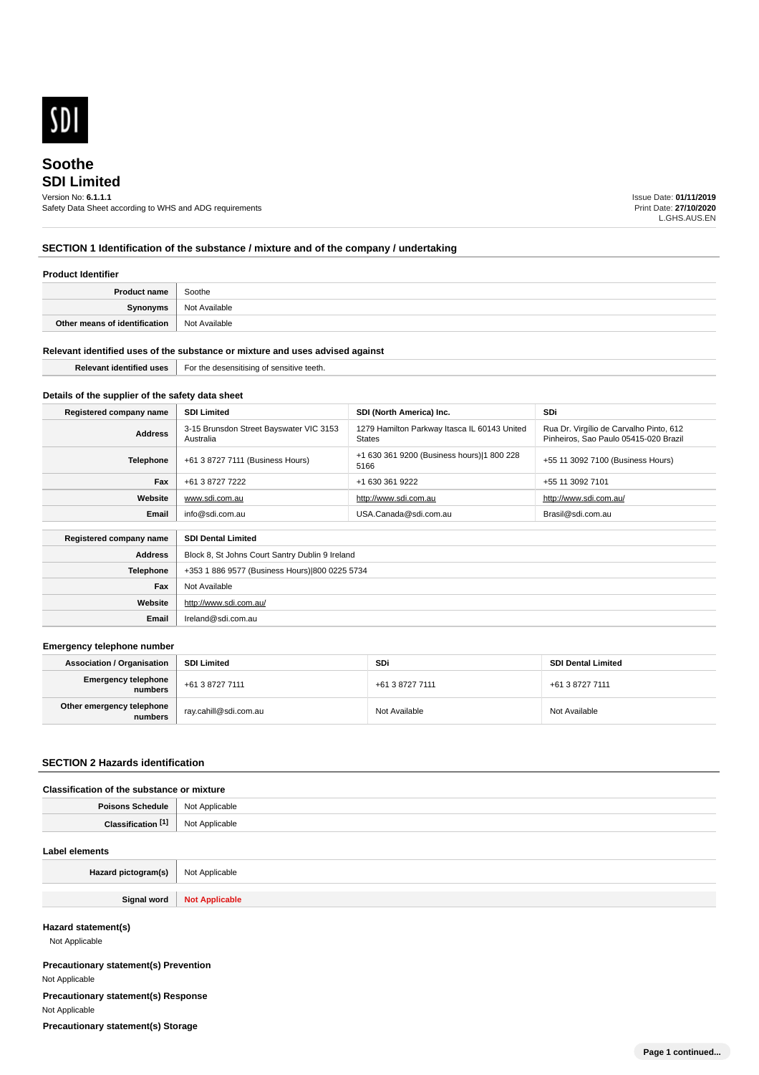

# **SDI Limited Soothe**

# Version No: **6.1.1.1**

Safety Data Sheet according to WHS and ADG requirements

Issue Date: **01/11/2019** Print Date: **27/10/2020** L.GHS.AUS.EN

### **SECTION 1 Identification of the substance / mixture and of the company / undertaking**

#### **Product Identifier**

| <b>Product name</b>           | Soothe        |
|-------------------------------|---------------|
| Synonyms                      | Not Available |
| Other means of identification | Not Available |

#### **Relevant identified uses of the substance or mixture and uses advised against**

| $-0.05$ |  | Relevant<br>1 uses<br><b>Taentifiec</b> | For ti<br>ensitive<br>. |
|---------|--|-----------------------------------------|-------------------------|
|---------|--|-----------------------------------------|-------------------------|

### **Details of the supplier of the safety data sheet**

**Website**

**Email** Ireland@sdi.com.au

http://www.sdi.com.au/

| Registered company name                              | <b>SDI Limited</b>                                   | SDI (North America) Inc.                                      | SDi                                                                              |
|------------------------------------------------------|------------------------------------------------------|---------------------------------------------------------------|----------------------------------------------------------------------------------|
| <b>Address</b>                                       | 3-15 Brunsdon Street Bayswater VIC 3153<br>Australia | 1279 Hamilton Parkway Itasca IL 60143 United<br><b>States</b> | Rua Dr. Virgílio de Carvalho Pinto, 612<br>Pinheiros, Sao Paulo 05415-020 Brazil |
| Telephone                                            | +61 3 8727 7111 (Business Hours)                     | +1 630 361 9200 (Business hours) 1 800 228<br>5166            | +55 11 3092 7100 (Business Hours)                                                |
| Fax                                                  | +61 3 8727 7222                                      | +1 630 361 9222                                               | +55 11 3092 7101                                                                 |
| Website                                              | www.sdi.com.au                                       | http://www.sdi.com.au                                         | http://www.sdi.com.au/                                                           |
| Email                                                | info@sdi.com.au                                      | USA.Canada@sdi.com.au                                         | Brasil@sdi.com.au                                                                |
| <b>SDI Dental Limited</b><br>Registered company name |                                                      |                                                               |                                                                                  |
| <b>Address</b>                                       | Block 8, St Johns Court Santry Dublin 9 Ireland      |                                                               |                                                                                  |
| <b>Telephone</b>                                     | +353 1 886 9577 (Business Hours) 800 0225 5734       |                                                               |                                                                                  |
| Fax                                                  | Not Available                                        |                                                               |                                                                                  |

#### **Emergency telephone number**

| <b>Association / Organisation</b>    | <b>SDI Limited</b>    | <b>SDi</b>      | <b>SDI Dental Limited</b> |
|--------------------------------------|-----------------------|-----------------|---------------------------|
| Emergency telephone<br>numbers       | +61 3 8727 7111       | +61 3 8727 7111 | +61 3 8727 7111           |
| Other emergency telephone<br>numbers | ray.cahill@sdi.com.au | Not Available   | Not Available             |

#### **SECTION 2 Hazards identification**

### **Classification of the substance or mixture**

| Poisons<br>Schedule     | <b>Not</b><br>: Applicable<br>. |
|-------------------------|---------------------------------|
| <b>PAN</b><br>Clessific | ilicable                        |

#### **Label elements**

| Hazard pictogram(s) | <sup>1</sup> Not Applicable |
|---------------------|-----------------------------|
|                     |                             |
| Signal word         | <b>Not Applicable</b>       |

### **Hazard statement(s)**

Not Applicable

**Precautionary statement(s) Prevention** Not Applicable **Precautionary statement(s) Response** Not Applicable **Precautionary statement(s) Storage**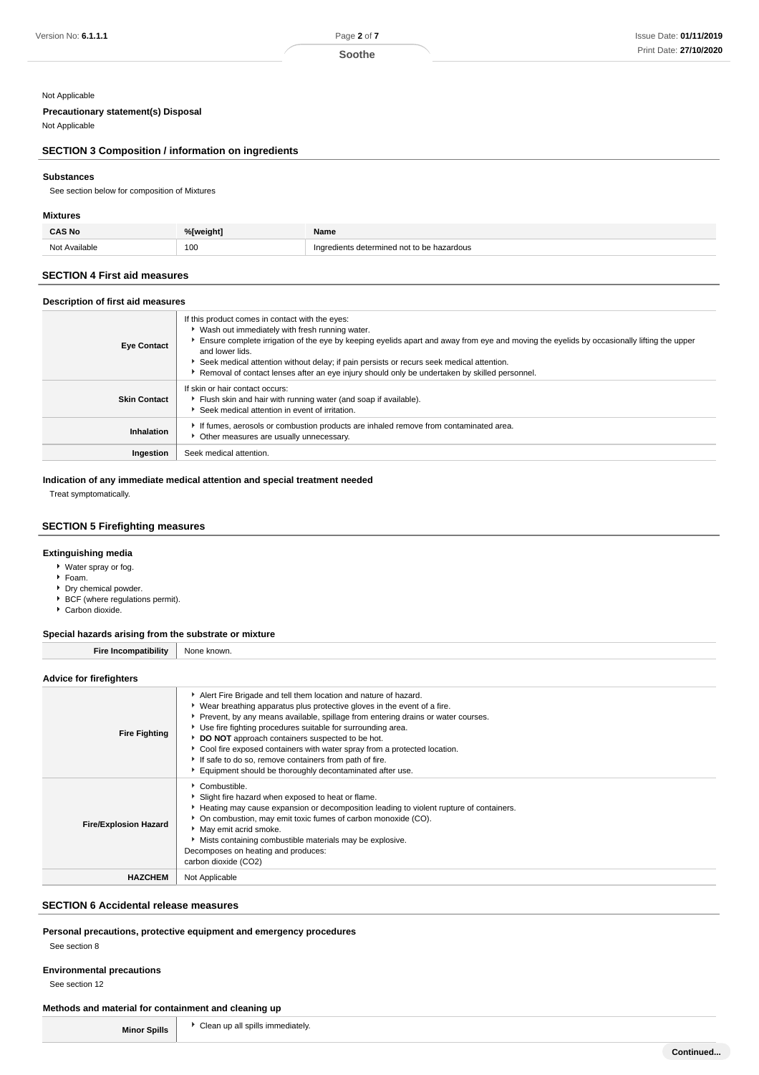#### **Soothe**

### Not Applicable

### **Precautionary statement(s) Disposal**

Not Applicable

### **SECTION 3 Composition / information on ingredients**

### **Substances**

See section below for composition of Mixtures

### **Mixtures**

| <b>CAS No</b> | %[weight] | Name                             |
|---------------|-----------|----------------------------------|
| Not Available | 100       | ; determined not to be hazardous |

### **SECTION 4 First aid measures**

### **Description of first aid measures**

| <b>Eye Contact</b>  | If this product comes in contact with the eyes:<br>▶ Wash out immediately with fresh running water.<br>Ensure complete irrigation of the eye by keeping eyelids apart and away from eye and moving the eyelids by occasionally lifting the upper<br>and lower lids.<br>Seek medical attention without delay; if pain persists or recurs seek medical attention.<br>Removal of contact lenses after an eye injury should only be undertaken by skilled personnel. |
|---------------------|------------------------------------------------------------------------------------------------------------------------------------------------------------------------------------------------------------------------------------------------------------------------------------------------------------------------------------------------------------------------------------------------------------------------------------------------------------------|
| <b>Skin Contact</b> | If skin or hair contact occurs:<br>Flush skin and hair with running water (and soap if available).<br>Seek medical attention in event of irritation.                                                                                                                                                                                                                                                                                                             |
| Inhalation          | If fumes, aerosols or combustion products are inhaled remove from contaminated area.<br>Other measures are usually unnecessary.                                                                                                                                                                                                                                                                                                                                  |
| Ingestion           | Seek medical attention.                                                                                                                                                                                                                                                                                                                                                                                                                                          |

**Indication of any immediate medical attention and special treatment needed**

Treat symptomatically.

### **SECTION 5 Firefighting measures**

### **Extinguishing media**

- Water spray or fog.
- Foam.
- Dry chemical powder.
- $\triangleright$  BCF (where regulations permit). ► Carbon dioxide.
- 

### **Special hazards arising from the substrate or mixture**

**Fire Incompatibility** None known.

### **Advice for firefighters**

| <b>Fire Fighting</b>         | Alert Fire Brigade and tell them location and nature of hazard.<br>• Wear breathing apparatus plus protective gloves in the event of a fire.<br>• Prevent, by any means available, spillage from entering drains or water courses.<br>Use fire fighting procedures suitable for surrounding area.<br>DO NOT approach containers suspected to be hot.<br>Cool fire exposed containers with water spray from a protected location.<br>If safe to do so, remove containers from path of fire.<br>Equipment should be thoroughly decontaminated after use. |
|------------------------------|--------------------------------------------------------------------------------------------------------------------------------------------------------------------------------------------------------------------------------------------------------------------------------------------------------------------------------------------------------------------------------------------------------------------------------------------------------------------------------------------------------------------------------------------------------|
| <b>Fire/Explosion Hazard</b> | Combustible.<br>Slight fire hazard when exposed to heat or flame.<br>Heating may cause expansion or decomposition leading to violent rupture of containers.<br>• On combustion, may emit toxic fumes of carbon monoxide (CO).<br>May emit acrid smoke.<br>Mists containing combustible materials may be explosive.<br>Decomposes on heating and produces:<br>carbon dioxide (CO2)                                                                                                                                                                      |
| <b>HAZCHEM</b>               | Not Applicable                                                                                                                                                                                                                                                                                                                                                                                                                                                                                                                                         |

### **SECTION 6 Accidental release measures**

### **Personal precautions, protective equipment and emergency procedures**

See section 8

### **Environmental precautions**

See section 12

### **Methods and material for containment and cleaning up**

**Minor Spills F** Clean up all spills immediately.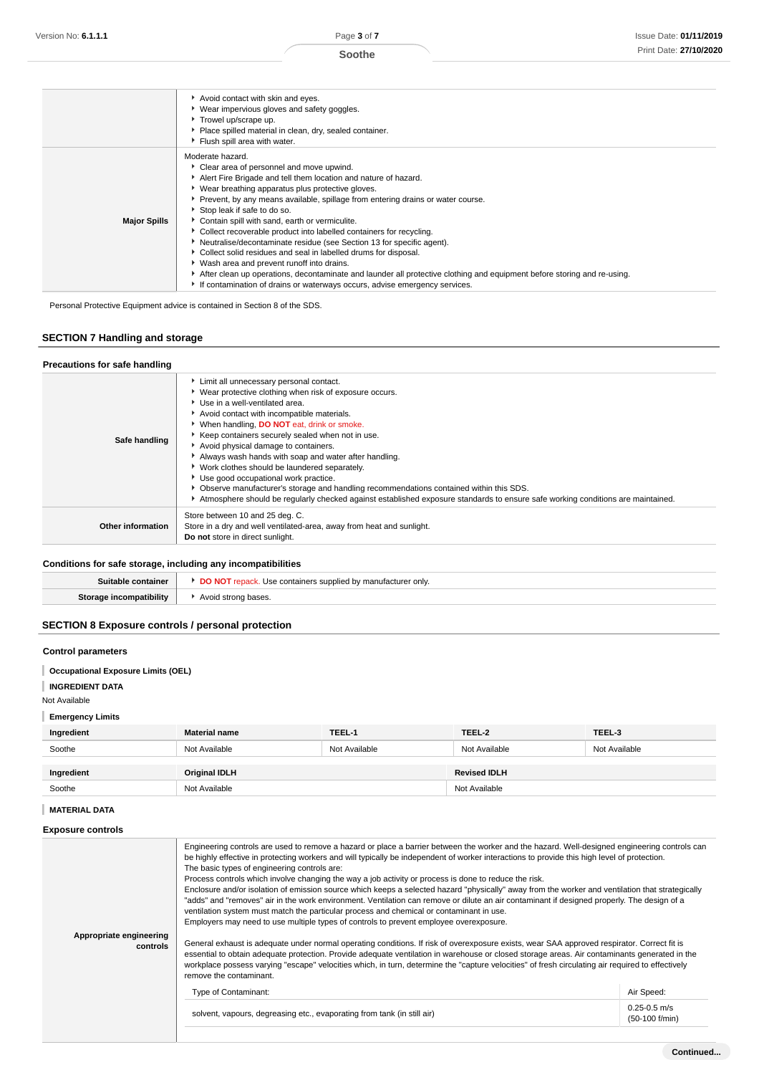### **Soothe**

|                     | Avoid contact with skin and eyes.<br>• Wear impervious gloves and safety goggles.<br>Trowel up/scrape up.<br>Place spilled material in clean, dry, sealed container.<br>Flush spill area with water.                                                                                                                                                                                                                                                                                                                                                                                                                                                                                                                                                                                                                                   |
|---------------------|----------------------------------------------------------------------------------------------------------------------------------------------------------------------------------------------------------------------------------------------------------------------------------------------------------------------------------------------------------------------------------------------------------------------------------------------------------------------------------------------------------------------------------------------------------------------------------------------------------------------------------------------------------------------------------------------------------------------------------------------------------------------------------------------------------------------------------------|
| <b>Major Spills</b> | Moderate hazard.<br>Clear area of personnel and move upwind.<br>Alert Fire Brigade and tell them location and nature of hazard.<br>▶ Wear breathing apparatus plus protective gloves.<br>Prevent, by any means available, spillage from entering drains or water course.<br>Stop leak if safe to do so.<br>Contain spill with sand, earth or vermiculite.<br>• Collect recoverable product into labelled containers for recycling.<br>Neutralise/decontaminate residue (see Section 13 for specific agent).<br>Collect solid residues and seal in labelled drums for disposal.<br>• Wash area and prevent runoff into drains.<br>After clean up operations, decontaminate and launder all protective clothing and equipment before storing and re-using.<br>If contamination of drains or waterways occurs, advise emergency services. |

Personal Protective Equipment advice is contained in Section 8 of the SDS.

# **SECTION 7 Handling and storage**

### **Precautions for safe handling**

| Safe handling            | Limit all unnecessary personal contact.<br>▶ Wear protective clothing when risk of exposure occurs.<br>Use in a well-ventilated area.<br>Avoid contact with incompatible materials.<br>When handling, <b>DO NOT</b> eat, drink or smoke.<br>▶ Keep containers securely sealed when not in use.<br>Avoid physical damage to containers.<br>Always wash hands with soap and water after handling.<br>▶ Work clothes should be laundered separately.<br>Use good occupational work practice.<br>• Observe manufacturer's storage and handling recommendations contained within this SDS.<br>Atmosphere should be regularly checked against established exposure standards to ensure safe working conditions are maintained. |
|--------------------------|--------------------------------------------------------------------------------------------------------------------------------------------------------------------------------------------------------------------------------------------------------------------------------------------------------------------------------------------------------------------------------------------------------------------------------------------------------------------------------------------------------------------------------------------------------------------------------------------------------------------------------------------------------------------------------------------------------------------------|
| <b>Other information</b> | Store between 10 and 25 deg. C.<br>Store in a dry and well ventilated-area, away from heat and sunlight.<br>Do not store in direct sunlight.                                                                                                                                                                                                                                                                                                                                                                                                                                                                                                                                                                             |

# **Conditions for safe storage, including any incompatibilities**

| aino            | <sup>.</sup> onlv.<br>.rurer<br>10C |
|-----------------|-------------------------------------|
| tihilitu<br>510 | $\Delta$ Voice<br>nases.            |
|                 |                                     |

# **SECTION 8 Exposure controls / personal protection**

### **Control parameters**

- **Occupational Exposure Limits (OEL)**
- **INGREDIENT DATA**

#### Not Available

**Emergency Limits**

| Ingredient | <b>Material name</b> | TEEL-1        | TEEL-2              | TEEL-3        |
|------------|----------------------|---------------|---------------------|---------------|
| Soothe     | Not Available        | Not Available | Not Available       | Not Available |
| Ingredient | <b>Original IDLH</b> |               | <b>Revised IDLH</b> |               |
| Soothe     | Not Available        |               | Not Available       |               |

### **MATERIAL DATA**

### **Exposure controls**

| Appropriate engineering<br>controls | Engineering controls are used to remove a hazard or place a barrier between the worker and the hazard. Well-designed engineering controls can<br>be highly effective in protecting workers and will typically be independent of worker interactions to provide this high level of protection.<br>The basic types of engineering controls are:<br>Process controls which involve changing the way a job activity or process is done to reduce the risk.<br>Enclosure and/or isolation of emission source which keeps a selected hazard "physically" away from the worker and ventilation that strategically<br>"adds" and "removes" air in the work environment. Ventilation can remove or dilute an air contaminant if designed properly. The design of a<br>ventilation system must match the particular process and chemical or contaminant in use.<br>Employers may need to use multiple types of controls to prevent employee overexposure.<br>General exhaust is adequate under normal operating conditions. If risk of overexposure exists, wear SAA approved respirator. Correct fit is<br>essential to obtain adequate protection. Provide adequate ventilation in warehouse or closed storage areas. Air contaminants generated in the<br>workplace possess varying "escape" velocities which, in turn, determine the "capture velocities" of fresh circulating air required to effectively<br>remove the contaminant.<br>Type of Contaminant:<br>solvent, vapours, degreasing etc., evaporating from tank (in still air) | Air Speed:<br>$0.25 - 0.5$ m/s |
|-------------------------------------|------------------------------------------------------------------------------------------------------------------------------------------------------------------------------------------------------------------------------------------------------------------------------------------------------------------------------------------------------------------------------------------------------------------------------------------------------------------------------------------------------------------------------------------------------------------------------------------------------------------------------------------------------------------------------------------------------------------------------------------------------------------------------------------------------------------------------------------------------------------------------------------------------------------------------------------------------------------------------------------------------------------------------------------------------------------------------------------------------------------------------------------------------------------------------------------------------------------------------------------------------------------------------------------------------------------------------------------------------------------------------------------------------------------------------------------------------------------------------------------------------------------------------------|--------------------------------|
|                                     |                                                                                                                                                                                                                                                                                                                                                                                                                                                                                                                                                                                                                                                                                                                                                                                                                                                                                                                                                                                                                                                                                                                                                                                                                                                                                                                                                                                                                                                                                                                                    |                                |
|                                     |                                                                                                                                                                                                                                                                                                                                                                                                                                                                                                                                                                                                                                                                                                                                                                                                                                                                                                                                                                                                                                                                                                                                                                                                                                                                                                                                                                                                                                                                                                                                    | (50-100 f/min)                 |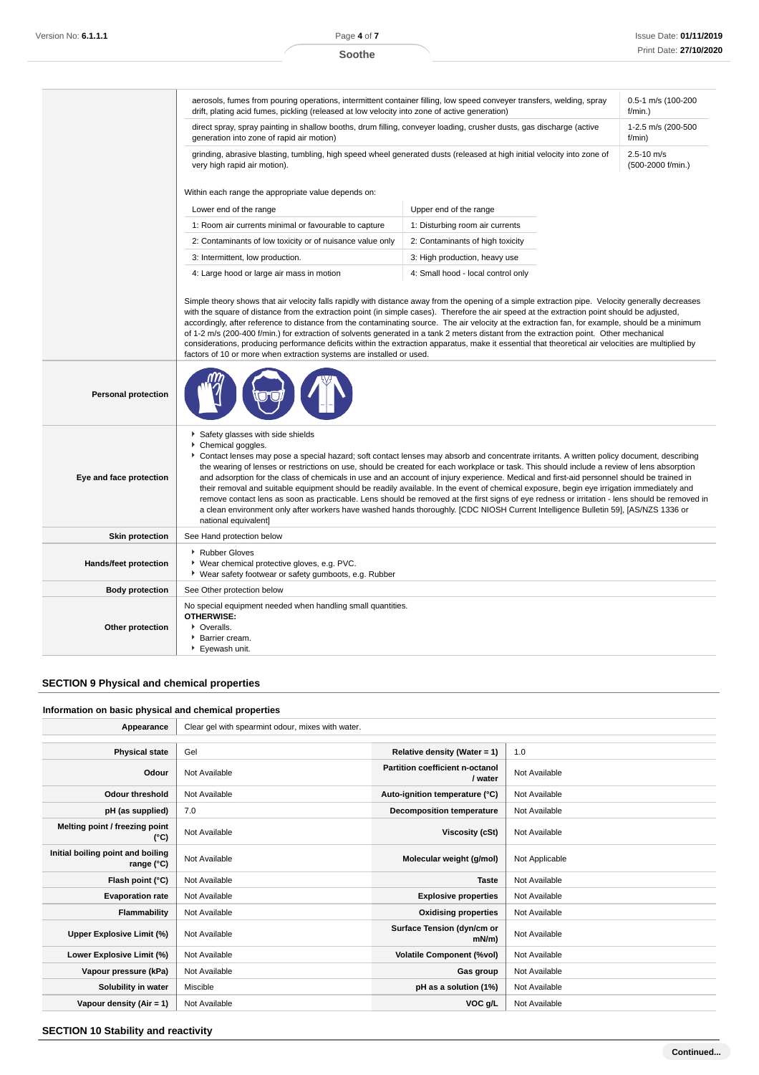|                            | aerosols, fumes from pouring operations, intermittent container filling, low speed conveyer transfers, welding, spray<br>0.5-1 m/s (100-200<br>drift, plating acid fumes, pickling (released at low velocity into zone of active generation)<br>$f/min.$ )                                                                                                                                                                                                                                                                                                                                                                                                                                                                                                                                                                      |                                                                                                                                                                                                                                                                                                                                                                                                                                                                                                                                                                                                                                                                                                                                                                                                                                                                             |  |  |  |
|----------------------------|---------------------------------------------------------------------------------------------------------------------------------------------------------------------------------------------------------------------------------------------------------------------------------------------------------------------------------------------------------------------------------------------------------------------------------------------------------------------------------------------------------------------------------------------------------------------------------------------------------------------------------------------------------------------------------------------------------------------------------------------------------------------------------------------------------------------------------|-----------------------------------------------------------------------------------------------------------------------------------------------------------------------------------------------------------------------------------------------------------------------------------------------------------------------------------------------------------------------------------------------------------------------------------------------------------------------------------------------------------------------------------------------------------------------------------------------------------------------------------------------------------------------------------------------------------------------------------------------------------------------------------------------------------------------------------------------------------------------------|--|--|--|
|                            | direct spray, spray painting in shallow booths, drum filling, conveyer loading, crusher dusts, gas discharge (active<br>1-2.5 m/s (200-500<br>generation into zone of rapid air motion)<br>f/min)                                                                                                                                                                                                                                                                                                                                                                                                                                                                                                                                                                                                                               |                                                                                                                                                                                                                                                                                                                                                                                                                                                                                                                                                                                                                                                                                                                                                                                                                                                                             |  |  |  |
|                            | grinding, abrasive blasting, tumbling, high speed wheel generated dusts (released at high initial velocity into zone of<br>$2.5 - 10$ m/s<br>very high rapid air motion).<br>(500-2000 f/min.)                                                                                                                                                                                                                                                                                                                                                                                                                                                                                                                                                                                                                                  |                                                                                                                                                                                                                                                                                                                                                                                                                                                                                                                                                                                                                                                                                                                                                                                                                                                                             |  |  |  |
|                            | Within each range the appropriate value depends on:                                                                                                                                                                                                                                                                                                                                                                                                                                                                                                                                                                                                                                                                                                                                                                             |                                                                                                                                                                                                                                                                                                                                                                                                                                                                                                                                                                                                                                                                                                                                                                                                                                                                             |  |  |  |
|                            | Lower end of the range                                                                                                                                                                                                                                                                                                                                                                                                                                                                                                                                                                                                                                                                                                                                                                                                          | Upper end of the range                                                                                                                                                                                                                                                                                                                                                                                                                                                                                                                                                                                                                                                                                                                                                                                                                                                      |  |  |  |
|                            | 1: Room air currents minimal or favourable to capture                                                                                                                                                                                                                                                                                                                                                                                                                                                                                                                                                                                                                                                                                                                                                                           | 1: Disturbing room air currents                                                                                                                                                                                                                                                                                                                                                                                                                                                                                                                                                                                                                                                                                                                                                                                                                                             |  |  |  |
|                            | 2: Contaminants of low toxicity or of nuisance value only                                                                                                                                                                                                                                                                                                                                                                                                                                                                                                                                                                                                                                                                                                                                                                       | 2: Contaminants of high toxicity                                                                                                                                                                                                                                                                                                                                                                                                                                                                                                                                                                                                                                                                                                                                                                                                                                            |  |  |  |
|                            | 3: Intermittent, low production.                                                                                                                                                                                                                                                                                                                                                                                                                                                                                                                                                                                                                                                                                                                                                                                                | 3: High production, heavy use                                                                                                                                                                                                                                                                                                                                                                                                                                                                                                                                                                                                                                                                                                                                                                                                                                               |  |  |  |
|                            | 4: Large hood or large air mass in motion                                                                                                                                                                                                                                                                                                                                                                                                                                                                                                                                                                                                                                                                                                                                                                                       | 4: Small hood - local control only                                                                                                                                                                                                                                                                                                                                                                                                                                                                                                                                                                                                                                                                                                                                                                                                                                          |  |  |  |
|                            | Simple theory shows that air velocity falls rapidly with distance away from the opening of a simple extraction pipe. Velocity generally decreases<br>with the square of distance from the extraction point (in simple cases). Therefore the air speed at the extraction point should be adjusted,<br>accordingly, after reference to distance from the contaminating source. The air velocity at the extraction fan, for example, should be a minimum<br>of 1-2 m/s (200-400 f/min.) for extraction of solvents generated in a tank 2 meters distant from the extraction point. Other mechanical<br>considerations, producing performance deficits within the extraction apparatus, make it essential that theoretical air velocities are multiplied by<br>factors of 10 or more when extraction systems are installed or used. |                                                                                                                                                                                                                                                                                                                                                                                                                                                                                                                                                                                                                                                                                                                                                                                                                                                                             |  |  |  |
| <b>Personal protection</b> |                                                                                                                                                                                                                                                                                                                                                                                                                                                                                                                                                                                                                                                                                                                                                                                                                                 |                                                                                                                                                                                                                                                                                                                                                                                                                                                                                                                                                                                                                                                                                                                                                                                                                                                                             |  |  |  |
| Eye and face protection    | Safety glasses with side shields<br>Chemical goggles.<br>national equivalent]                                                                                                                                                                                                                                                                                                                                                                                                                                                                                                                                                                                                                                                                                                                                                   | Contact lenses may pose a special hazard; soft contact lenses may absorb and concentrate irritants. A written policy document, describing<br>the wearing of lenses or restrictions on use, should be created for each workplace or task. This should include a review of lens absorption<br>and adsorption for the class of chemicals in use and an account of injury experience. Medical and first-aid personnel should be trained in<br>their removal and suitable equipment should be readily available. In the event of chemical exposure, begin eye irrigation immediately and<br>remove contact lens as soon as practicable. Lens should be removed at the first signs of eye redness or irritation - lens should be removed in<br>a clean environment only after workers have washed hands thoroughly. [CDC NIOSH Current Intelligence Bulletin 59], [AS/NZS 1336 or |  |  |  |
| <b>Skin protection</b>     | See Hand protection below                                                                                                                                                                                                                                                                                                                                                                                                                                                                                                                                                                                                                                                                                                                                                                                                       |                                                                                                                                                                                                                                                                                                                                                                                                                                                                                                                                                                                                                                                                                                                                                                                                                                                                             |  |  |  |
| Hands/feet protection      | Rubber Gloves<br>* Wear chemical protective gloves, e.g. PVC.<br>▶ Wear safety footwear or safety gumboots, e.g. Rubber                                                                                                                                                                                                                                                                                                                                                                                                                                                                                                                                                                                                                                                                                                         |                                                                                                                                                                                                                                                                                                                                                                                                                                                                                                                                                                                                                                                                                                                                                                                                                                                                             |  |  |  |
| <b>Body protection</b>     | See Other protection below                                                                                                                                                                                                                                                                                                                                                                                                                                                                                                                                                                                                                                                                                                                                                                                                      |                                                                                                                                                                                                                                                                                                                                                                                                                                                                                                                                                                                                                                                                                                                                                                                                                                                                             |  |  |  |
| Other protection           | No special equipment needed when handling small quantities.<br><b>OTHERWISE:</b><br>• Overalls.<br>Barrier cream.<br>Eyewash unit.                                                                                                                                                                                                                                                                                                                                                                                                                                                                                                                                                                                                                                                                                              |                                                                                                                                                                                                                                                                                                                                                                                                                                                                                                                                                                                                                                                                                                                                                                                                                                                                             |  |  |  |

# **SECTION 9 Physical and chemical properties**

### **Information on basic physical and chemical properties**

| Appearance                                      | Clear gel with spearmint odour, mixes with water. |                                            |                |  |
|-------------------------------------------------|---------------------------------------------------|--------------------------------------------|----------------|--|
|                                                 |                                                   |                                            |                |  |
| <b>Physical state</b>                           | Gel                                               | Relative density (Water = 1)               | 1.0            |  |
| Odour                                           | Not Available                                     | Partition coefficient n-octanol<br>/ water | Not Available  |  |
| <b>Odour threshold</b>                          | Not Available                                     | Auto-ignition temperature (°C)             | Not Available  |  |
| pH (as supplied)                                | 7.0                                               | <b>Decomposition temperature</b>           | Not Available  |  |
| Melting point / freezing point<br>(°C)          | Not Available                                     | Viscosity (cSt)                            | Not Available  |  |
| Initial boiling point and boiling<br>range (°C) | Not Available                                     | Molecular weight (g/mol)                   | Not Applicable |  |
| Flash point (°C)                                | Not Available                                     | <b>Taste</b>                               | Not Available  |  |
| <b>Evaporation rate</b>                         | Not Available                                     | <b>Explosive properties</b>                | Not Available  |  |
| Flammability                                    | Not Available                                     | <b>Oxidising properties</b>                | Not Available  |  |
| Upper Explosive Limit (%)                       | Not Available                                     | Surface Tension (dyn/cm or<br>$mN/m$ )     | Not Available  |  |
| Lower Explosive Limit (%)                       | Not Available                                     | <b>Volatile Component (%vol)</b>           | Not Available  |  |
| Vapour pressure (kPa)                           | Not Available                                     | Gas group                                  | Not Available  |  |
| Solubility in water                             | Miscible                                          | pH as a solution (1%)                      | Not Available  |  |
| Vapour density $(Air = 1)$                      | Not Available                                     | VOC g/L                                    | Not Available  |  |

**SECTION 10 Stability and reactivity**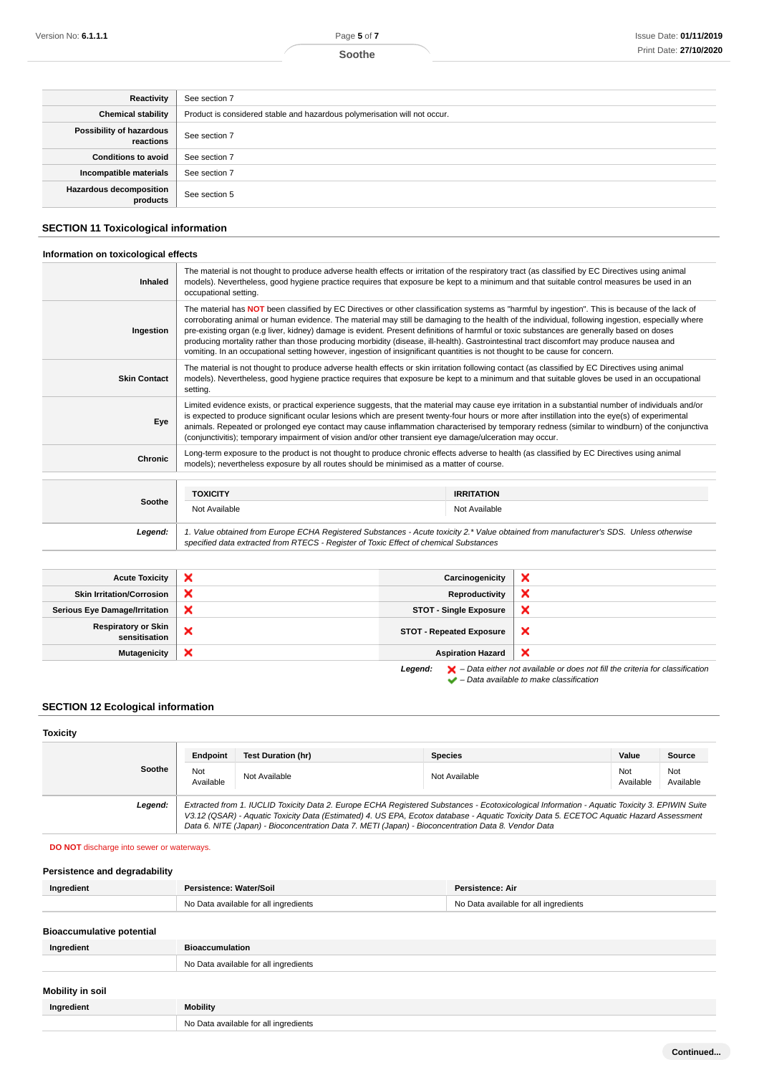| Reactivity                            | See section 7                                                             |
|---------------------------------------|---------------------------------------------------------------------------|
| <b>Chemical stability</b>             | Product is considered stable and hazardous polymerisation will not occur. |
| Possibility of hazardous<br>reactions | See section 7                                                             |
| <b>Conditions to avoid</b>            | See section 7                                                             |
| Incompatible materials                | See section 7                                                             |
| Hazardous decomposition<br>products   | See section 5                                                             |

### **SECTION 11 Toxicological information**

### **Information on toxicological effects**

| <b>Inhaled</b>      | The material is not thought to produce adverse health effects or irritation of the respiratory tract (as classified by EC Directives using animal<br>models). Nevertheless, good hygiene practice requires that exposure be kept to a minimum and that suitable control measures be used in an<br>occupational setting.                                                                                                                                                                                                                                                                                                                                                                                                       |                                                                                                                                            |  |  |  |
|---------------------|-------------------------------------------------------------------------------------------------------------------------------------------------------------------------------------------------------------------------------------------------------------------------------------------------------------------------------------------------------------------------------------------------------------------------------------------------------------------------------------------------------------------------------------------------------------------------------------------------------------------------------------------------------------------------------------------------------------------------------|--------------------------------------------------------------------------------------------------------------------------------------------|--|--|--|
| Ingestion           | The material has NOT been classified by EC Directives or other classification systems as "harmful by ingestion". This is because of the lack of<br>corroborating animal or human evidence. The material may still be damaging to the health of the individual, following ingestion, especially where<br>pre-existing organ (e.g liver, kidney) damage is evident. Present definitions of harmful or toxic substances are generally based on doses<br>producing mortality rather than those producing morbidity (disease, ill-health). Gastrointestinal tract discomfort may produce nausea and<br>vomiting. In an occupational setting however, ingestion of insignificant quantities is not thought to be cause for concern. |                                                                                                                                            |  |  |  |
| <b>Skin Contact</b> | The material is not thought to produce adverse health effects or skin irritation following contact (as classified by EC Directives using animal<br>models). Nevertheless, good hygiene practice requires that exposure be kept to a minimum and that suitable gloves be used in an occupational<br>setting.                                                                                                                                                                                                                                                                                                                                                                                                                   |                                                                                                                                            |  |  |  |
| Eye                 | Limited evidence exists, or practical experience suggests, that the material may cause eye irritation in a substantial number of individuals and/or<br>is expected to produce significant ocular lesions which are present twenty-four hours or more after instillation into the eye(s) of experimental<br>animals. Repeated or prolonged eye contact may cause inflammation characterised by temporary redness (similar to windburn) of the conjunctiva<br>(conjunctivitis); temporary impairment of vision and/or other transient eye damage/ulceration may occur.                                                                                                                                                          |                                                                                                                                            |  |  |  |
| Chronic             | models); nevertheless exposure by all routes should be minimised as a matter of course.                                                                                                                                                                                                                                                                                                                                                                                                                                                                                                                                                                                                                                       | Long-term exposure to the product is not thought to produce chronic effects adverse to health (as classified by EC Directives using animal |  |  |  |
|                     |                                                                                                                                                                                                                                                                                                                                                                                                                                                                                                                                                                                                                                                                                                                               |                                                                                                                                            |  |  |  |
| Soothe              | <b>TOXICITY</b>                                                                                                                                                                                                                                                                                                                                                                                                                                                                                                                                                                                                                                                                                                               | <b>IRRITATION</b>                                                                                                                          |  |  |  |
|                     | Not Available                                                                                                                                                                                                                                                                                                                                                                                                                                                                                                                                                                                                                                                                                                                 | Not Available                                                                                                                              |  |  |  |
| Legend:             | specified data extracted from RTECS - Register of Toxic Effect of chemical Substances                                                                                                                                                                                                                                                                                                                                                                                                                                                                                                                                                                                                                                         | 1. Value obtained from Europe ECHA Registered Substances - Acute toxicity 2.* Value obtained from manufacturer's SDS. Unless otherwise     |  |  |  |

| <b>Acute Toxicity</b>                       | × | Carcinogenicity                 | $\boldsymbol{\mathsf{x}}$                                                                                                                                           |
|---------------------------------------------|---|---------------------------------|---------------------------------------------------------------------------------------------------------------------------------------------------------------------|
| <b>Skin Irritation/Corrosion</b>            | × | Reproductivity                  | ×                                                                                                                                                                   |
| <b>Serious Eye Damage/Irritation</b>        | × | <b>STOT - Single Exposure</b>   | $\boldsymbol{\mathsf{x}}$                                                                                                                                           |
| <b>Respiratory or Skin</b><br>sensitisation | × | <b>STOT - Repeated Exposure</b> | $\boldsymbol{\mathsf{x}}$                                                                                                                                           |
| <b>Mutagenicity</b>                         | × | <b>Aspiration Hazard</b>        | $\boldsymbol{\times}$                                                                                                                                               |
|                                             |   | Legend:                         | $\blacktriangleright$ - Data either not available or does not fill the criteria for classification<br>$\blacktriangleright$ - Data available to make classification |

|  | Data available to make classification |  |  |  |  |
|--|---------------------------------------|--|--|--|--|

**SECTION 12 Ecological information**

### **Toxicity**

|         | Endpoint         | <b>Test Duration (hr)</b> | <b>Species</b>                                                                                                                                                                                                                                                                                                                                                                                  | Value            | <b>Source</b>    |
|---------|------------------|---------------------------|-------------------------------------------------------------------------------------------------------------------------------------------------------------------------------------------------------------------------------------------------------------------------------------------------------------------------------------------------------------------------------------------------|------------------|------------------|
| Soothe  | Not<br>Available | Not Available             | Not Available                                                                                                                                                                                                                                                                                                                                                                                   | Not<br>Available | Not<br>Available |
| Legend: |                  |                           | Extracted from 1. IUCLID Toxicity Data 2. Europe ECHA Registered Substances - Ecotoxicological Information - Aquatic Toxicity 3. EPIWIN Suite<br>V3.12 (QSAR) - Aquatic Toxicity Data (Estimated) 4. US EPA, Ecotox database - Aquatic Toxicity Data 5. ECETOC Aquatic Hazard Assessment<br>Data 6. NITE (Japan) - Bioconcentration Data 7. METI (Japan) - Bioconcentration Data 8. Vendor Data |                  |                  |

### **DO NOT** discharge into sewer or waterways.

| Persistence and degradability |                                       |                                       |
|-------------------------------|---------------------------------------|---------------------------------------|
| Ingredient                    | Persistence: Water/Soil               | Persistence: Air                      |
|                               | No Data available for all ingredients | No Data available for all ingredients |

### **Bioaccumulative potential**

| Ingredient       | <b>Bioaccumulation</b>                |
|------------------|---------------------------------------|
|                  | No Data available for all ingredients |
| Mobility in soil |                                       |
| Ingredient       | <b>Mobility</b>                       |
|                  | No Data available for all ingredients |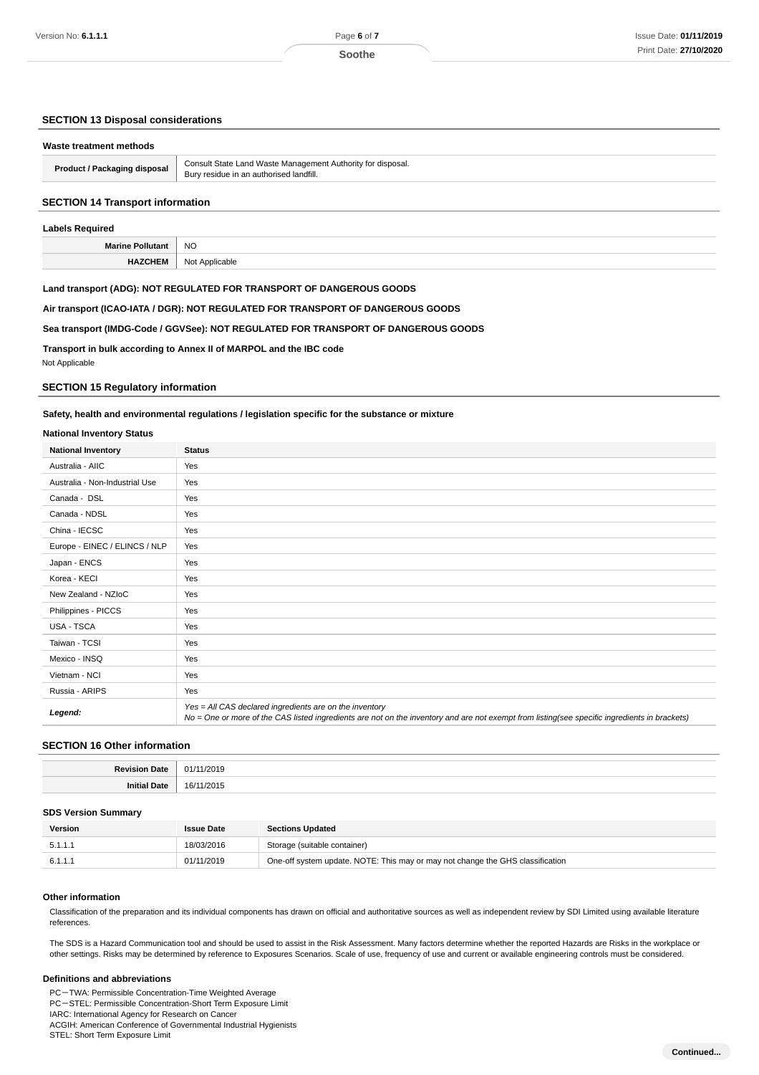### **SECTION 13 Disposal considerations**

| Waste treatment methods      |                                                                                                        |
|------------------------------|--------------------------------------------------------------------------------------------------------|
| Product / Packaging disposal | Consult State Land Waste Management Authority for disposal.<br>Bury residue in an authorised landfill. |
|                              |                                                                                                        |

### **SECTION 14 Transport information**

# **Labels Required Marine Pollutant** NO **HAZCHEM** Not Applicable

### **Land transport (ADG): NOT REGULATED FOR TRANSPORT OF DANGEROUS GOODS**

**Air transport (ICAO-IATA / DGR): NOT REGULATED FOR TRANSPORT OF DANGEROUS GOODS**

**Sea transport (IMDG-Code / GGVSee): NOT REGULATED FOR TRANSPORT OF DANGEROUS GOODS**

**Transport in bulk according to Annex II of MARPOL and the IBC code**

Not Applicable

### **SECTION 15 Regulatory information**

#### **Safety, health and environmental regulations / legislation specific for the substance or mixture**

#### **National Inventory Status**

| <b>National Inventory</b>      | <b>Status</b>                                                                                                                                                                                            |  |  |
|--------------------------------|----------------------------------------------------------------------------------------------------------------------------------------------------------------------------------------------------------|--|--|
| Australia - AIIC               | Yes                                                                                                                                                                                                      |  |  |
| Australia - Non-Industrial Use | Yes                                                                                                                                                                                                      |  |  |
| Canada - DSL                   | Yes                                                                                                                                                                                                      |  |  |
| Canada - NDSL                  | Yes                                                                                                                                                                                                      |  |  |
| China - IECSC                  | Yes                                                                                                                                                                                                      |  |  |
| Europe - EINEC / ELINCS / NLP  | Yes                                                                                                                                                                                                      |  |  |
| Japan - ENCS                   | Yes                                                                                                                                                                                                      |  |  |
| Korea - KECI                   | Yes                                                                                                                                                                                                      |  |  |
| New Zealand - NZloC            | Yes                                                                                                                                                                                                      |  |  |
| Philippines - PICCS            | Yes                                                                                                                                                                                                      |  |  |
| USA - TSCA                     | Yes                                                                                                                                                                                                      |  |  |
| Taiwan - TCSI                  | Yes                                                                                                                                                                                                      |  |  |
| Mexico - INSQ                  | Yes                                                                                                                                                                                                      |  |  |
| Vietnam - NCI                  | Yes                                                                                                                                                                                                      |  |  |
| Russia - ARIPS                 | Yes                                                                                                                                                                                                      |  |  |
| Legend:                        | Yes = All CAS declared ingredients are on the inventory<br>No = One or more of the CAS listed ingredients are not on the inventory and are not exempt from listing(see specific ingredients in brackets) |  |  |

### **SECTION 16 Other information**

| в.    | .  |
|-------|----|
|       |    |
| nı    | ,  |
| ™ate∹ | יי |

#### **SDS Version Summary**

| Version | <b>Issue Date</b> | <b>Sections Updated</b>                                                        |
|---------|-------------------|--------------------------------------------------------------------------------|
| 5.1.1.1 | 18/03/2016        | Storage (suitable container)                                                   |
| 6.1.1.1 | 01/11/2019        | One-off system update. NOTE: This may or may not change the GHS classification |

#### **Other information**

Classification of the preparation and its individual components has drawn on official and authoritative sources as well as independent review by SDI Limited using available literature references.

The SDS is a Hazard Communication tool and should be used to assist in the Risk Assessment. Many factors determine whether the reported Hazards are Risks in the workplace or other settings. Risks may be determined by reference to Exposures Scenarios. Scale of use, frequency of use and current or available engineering controls must be considered.

#### **Definitions and abbreviations**

PC-TWA: Permissible Concentration-Time Weighted Average PC-STEL: Permissible Concentration-Short Term Exposure Limit IARC: International Agency for Research on Cancer

ACGIH: American Conference of Governmental Industrial Hygienists

STEL: Short Term Exposure Limit